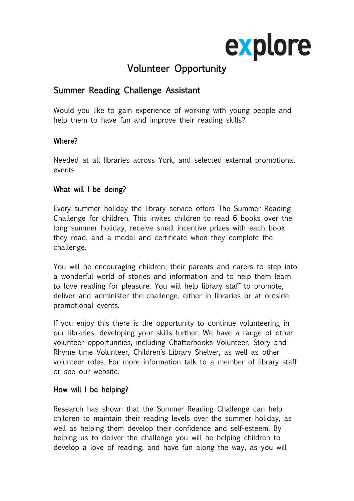

# Volunteer Opportunity

## Summer Reading Challenge Assistant

Would you like to gain experience of working with young people and help them to have fun and improve their reading skills?

#### Where?

Needed at all libraries across York, and selected external promotional events

#### What will I be doing?

Every summer holiday the library service offers The Summer Reading Challenge for children. This invites children to read 6 books over the long summer holiday, receive small incentive prizes with each book they read, and a medal and certificate when they complete the challenge.

You will be encouraging children, their parents and carers to step into a wonderful world of stories and information and to help them learn to love reading for pleasure. You will help library staff to promote, deliver and administer the challenge, either in libraries or at outside promotional events.

If you enjoy this there is the opportunity to continue volunteering in our libraries, developing your skills further. We have a range of other volunteer opportunities, including Chatterbooks Volunteer, Story and Rhyme time Volunteer, Children's Library Shelver, as well as other volunteer roles. For more information talk to a member of library staff or see our website.

#### How will I be helping?

Research has shown that the Summer Reading Challenge can help children to maintain their reading levels over the summer holiday, as well as helping them develop their confidence and self-esteem. By helping us to deliver the challenge you will be helping children to develop a love of reading, and have fun along the way, as you will